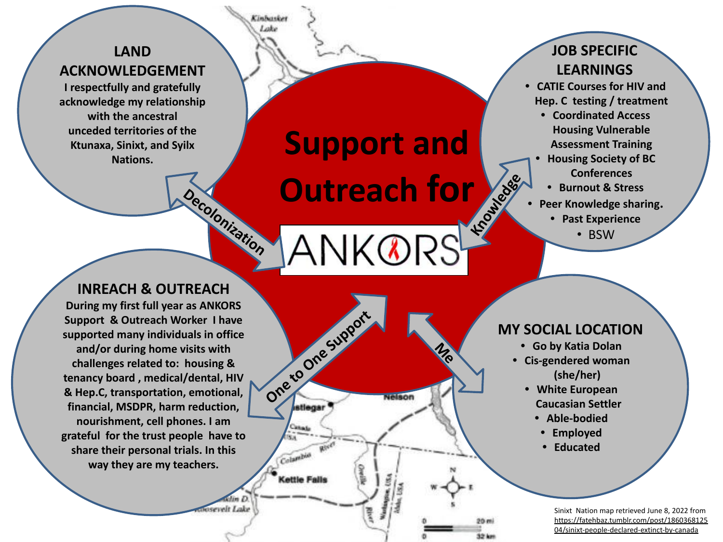## **LAND ACKNOWLEDGEMENT**

**I respectfully and gratefully acknowledge my relationship with the ancestral unceded territories of the Ktunaxa, Sinixt, and Syilx Nations.**

**Support and Outreach for Knowledge** 

NK®RS

velson

**Me**

One to One Support

Casas sа

Colambia

**Cettle Falls** 

## **JOB SPECIFIC LEARNINGS**

- **• CATIE Courses for HIV and Hep. C testing / treatment**
	- **• Coordinated Access Housing Vulnerable Assessment Training**
	- **• Housing Society of BC Conferences**
		- **• Burnout & Stress**
- **• Peer Knowledge sharing.**
	- **• Past Experience**
		- BSW

**INREACH & OUTREACH During my first full year as ANKORS Support & Outreach Worker I have supported many individuals in office and/or during home visits with challenges related to: housing & tenancy board , medical/dental, HIV & Hep.C, transportation, emotional, financial, MSDPR, harm reduction, nourishment, cell phones. I am grateful for the trust people have to share their personal trials. In this way they are my teachers.** 

**Decolonization**

osevelt Lake

Kinhaske Lake

## **MY SOCIAL LOCATION**

- **• Go by Katia Dolan**
- **• Cis-gendered woman (she/her)**
	- **• White European Caucasian Settler**
		- **• Able-bodied**
		- **• Employed**
		- **• Educated**

Sinixt Nation map retrieved June 8, 2022 from [https://fatehbaz.tumblr.com/post/1860368125](https://fatehbaz.tumblr.com/post/186036812504/sinixt-people-declared-extinct-by-canada) [04/sinixt-people-declared-extinct-by-canada](https://fatehbaz.tumblr.com/post/186036812504/sinixt-people-declared-extinct-by-canada)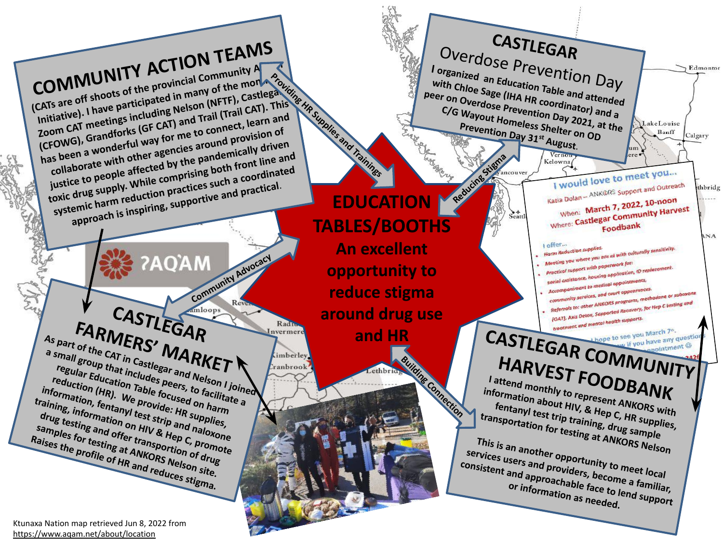**CASTLEGAR COMMUNITY ACTION TEAMS**  Overdose Prevention Day **(CATs are off shoots of the provincial Community A <sup>I</sup>organized an Education Table and attended**  Edmontor **Providing HR Supplies and Trainings** Initiative). I have participated in many of the money **with Chloe Sage (IHA HR coordinator) and a Zoom CAT meetings including Nelson (NFTF), Castlegar Peer on Overdose Prevention Day 2021, at the Prevention Day 31st August.**<br>
Prevention Day 31st August.<br> **Prevention Day 31st August.**<br> **Prevention Day 31st August. (CFOWG), Grandforks (GF CAT) and Trail (Trail CAT). This has been a wonderful way for me to connect, learn and**  C/G Wayout Homeless Shelter on OD<br>Prevention Day 2021, a<br>Prevention Day 31<sup>st</sup> August OD **Prevention Day 31st August. collaborate with other agencies around provision of Lake Louise** Banff Calgary **justice to people affected by the pandemically driven toxic drug supply. While comprising both front line and**  um **Reducing Strategy**  $ere$ Verno Kelowna<sup>(</sup> **systemic harm reduction practices such a coordinated**  I would love to meet you... **approach is inspiring, supportive and practical**. I would love to meet y<br>Katia Dolan – ANK©RS Support and Outreach thbridg **EDUCATION**  when: March 7, 2022, 10-noon When: March 7, 2022, 10-noon<br>Where: Castlegar Community Harvest  $S<sub>cart</sub>$ **TABLES/BOOTHS** Foodbank ANA offer... **An excellent**  I offer...<br>Harm Reduction supplies. | offer...<br>Harm Reduction supplies.<br>| Meeting you where you are at with culturally sensitivity.<br>| Meeting you where <sub>you naperwork</sub> for: **COMMUNITY Advocacy opportunity to reduce stigma**  DRS programs, methadone of all<br>lorted Recovery, for Hep C testing and CASTLEGAR **around drug use FARMERS' MARKET and HR COMMUNITY** Radiu **As part of the CAT in Castlegar and Nelson I joined**  nvermere **a small group that includes peers, to facilitate a HARVEST FOODBANK** imberley. **Building Connection regular Education Table focused on harm**  anbrook **reduction (HR). We provide: HR supplies, I attend monthly to represent ANKORS with information, fentanyl test strip and naloxone information about HIV, & Hep C, HR supplies, training, information on HIV & Hep C, promote fentanyl test trip training, drug sample drug testing and offer transportion of drug transportation for testing at ANKORS Nelson samples for testing at ANKORS Nelson site. Raises the profile of HR and reduces stigma. This is an another opportunity to meet local**<br>**Providers, become a familiar**<br>**Providers, become a familiar**<br>or information as needed. **services users and providers, become a familiar, consistent and approachable face to lend support**<br>
or information as needed.

Ktunaxa Nation map retrieved Jun 8, 2022 from <https://www.aqam.net/about/location>